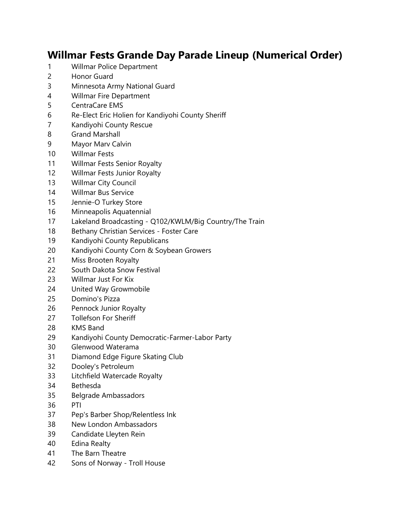## **Willmar Fests Grande Day Parade Lineup (Numerical Order)**

- Willmar Police Department
- Honor Guard
- Minnesota Army National Guard
- Willmar Fire Department
- CentraCare EMS
- Re-Elect Eric Holien for Kandiyohi County Sheriff
- Kandiyohi County Rescue
- Grand Marshall
- Mayor Marv Calvin
- Willmar Fests
- Willmar Fests Senior Royalty
- Willmar Fests Junior Royalty
- Willmar City Council
- Willmar Bus Service
- Jennie-O Turkey Store
- Minneapolis Aquatennial
- Lakeland Broadcasting Q102/KWLM/Big Country/The Train
- 18 Bethany Christian Services Foster Care
- Kandiyohi County Republicans
- Kandiyohi County Corn & Soybean Growers
- Miss Brooten Royalty
- South Dakota Snow Festival
- Willmar Just For Kix
- United Way Growmobile
- Domino's Pizza
- Pennock Junior Royalty
- Tollefson For Sheriff
- KMS Band
- Kandiyohi County Democratic-Farmer-Labor Party
- Glenwood Waterama
- Diamond Edge Figure Skating Club
- Dooley's Petroleum
- Litchfield Watercade Royalty
- Bethesda
- Belgrade Ambassadors
- PTI
- Pep's Barber Shop/Relentless Ink
- New London Ambassadors
- Candidate Lleyten Rein
- Edina Realty
- The Barn Theatre
- Sons of Norway Troll House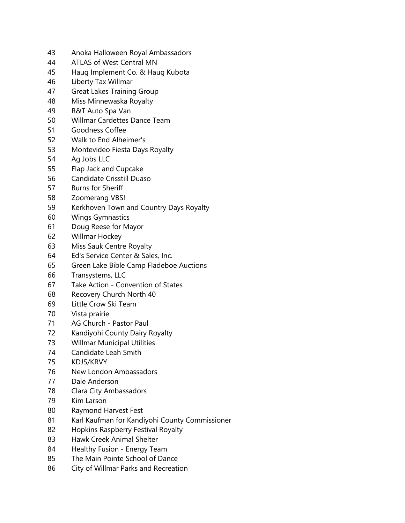- Anoka Halloween Royal Ambassadors
- ATLAS of West Central MN
- Haug Implement Co. & Haug Kubota
- Liberty Tax Willmar
- Great Lakes Training Group
- Miss Minnewaska Royalty
- R&T Auto Spa Van
- Willmar Cardettes Dance Team
- Goodness Coffee
- Walk to End Alheimer's
- Montevideo Fiesta Days Royalty
- Ag Jobs LLC
- Flap Jack and Cupcake
- Candidate Crisstill Duaso
- Burns for Sheriff
- Zoomerang VBS!
- Kerkhoven Town and Country Days Royalty
- Wings Gymnastics
- Doug Reese for Mayor
- Willmar Hockey
- Miss Sauk Centre Royalty
- Ed's Service Center & Sales, Inc.
- Green Lake Bible Camp Fladeboe Auctions
- Transystems, LLC
- Take Action Convention of States
- Recovery Church North 40
- Little Crow Ski Team
- Vista prairie
- AG Church Pastor Paul
- Kandiyohi County Dairy Royalty
- Willmar Municipal Utilities
- Candidate Leah Smith
- KDJS/KRVY
- New London Ambassadors
- Dale Anderson
- Clara City Ambassadors
- Kim Larson
- Raymond Harvest Fest
- Karl Kaufman for Kandiyohi County Commissioner
- Hopkins Raspberry Festival Royalty
- Hawk Creek Animal Shelter
- Healthy Fusion Energy Team
- The Main Pointe School of Dance
- City of Willmar Parks and Recreation